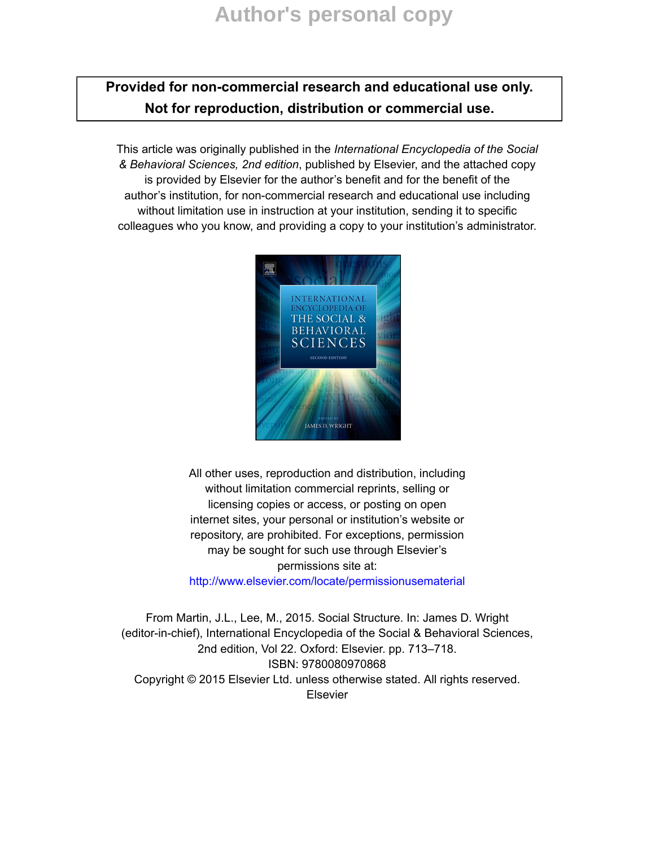## **Provided for non-commercial research and educational use only. Not for reproduction, distribution or commercial use.**

This article was originally published in the *International Encyclopedia of the Social & Behavioral Sciences, 2nd edition*, published by Elsevier, and the attached copy is provided by Elsevier for the author's benefit and for the benefit of the author's institution, for non-commercial research and educational use including without limitation use in instruction at your institution, sending it to specific colleagues who you know, and providing a copy to your institution's administrator.



All other uses, reproduction and distribution, including without limitation commercial reprints, selling or licensing copies or access, or posting on open internet sites, your personal or institution's website or repository, are prohibited. For exceptions, permission may be sought for such use through Elsevier's permissions site at: <http://www.elsevier.com/locate/permissionusematerial>

From Martin, J.L., Lee, M., 2015. Social Structure. In: James D. Wright (editor-in-chief), International Encyclopedia of the Social & Behavioral Sciences, 2nd edition, Vol 22. Oxford: Elsevier. pp. 713–718. ISBN: 9780080970868 Copyright © 2015 Elsevier Ltd. unless otherwise stated. All rights reserved. Elsevier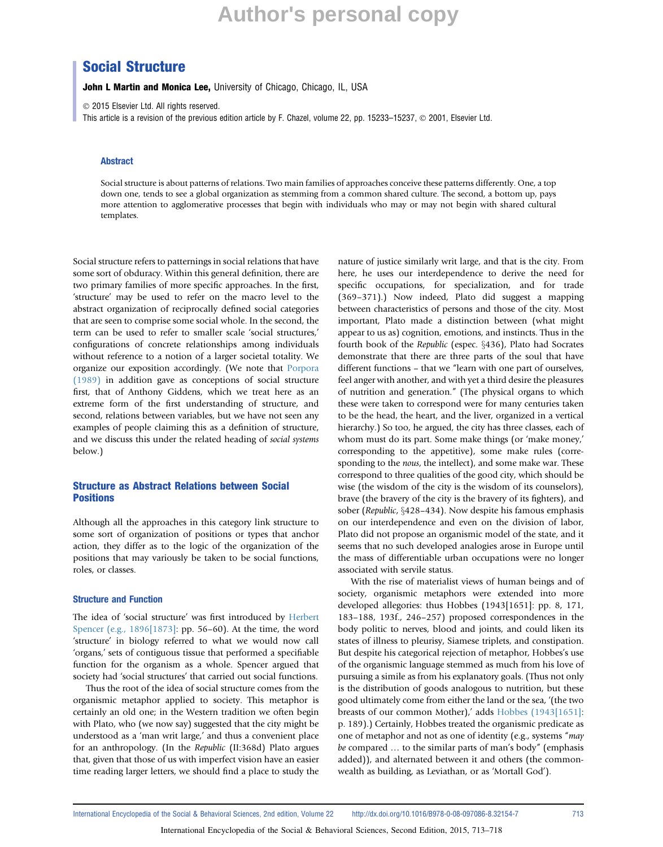# **Author's personal copy**

### Social Structure

John L Martin and Monica Lee, University of Chicago, Chicago, IL, USA

2015 Elsevier Ltd. All rights reserved.

This article is a revision of the previous edition article by F. Chazel, volume 22, pp. 15233-15237,  $\odot$  2001, Elsevier Ltd.

#### Abstract

Social structure is about patterns of relations. Two main families of approaches conceive these patterns differently. One, a top down one, tends to see a global organization as stemming from a common shared culture. The second, a bottom up, pays more attention to agglomerative processes that begin with individuals who may or may not begin with shared cultural templates.

Social structure refers to patternings in social relations that have some sort of obduracy. Within this general definition, there are two primary families of more specific approaches. In the first, 'structure' may be used to refer on the macro level to the abstract organization of reciprocally defined social categories that are seen to comprise some social whole. In the second, the term can be used to refer to smaller scale 'social structures,' configurations of concrete relationships among individuals without reference to a notion of a larger societal totality. We organize our exposition accordingly. (We note that Porpora (1989) in addition gave as conceptions of social structure first, that of Anthony Giddens, which we treat here as an extreme form of the first understanding of structure, and second, relations between variables, but we have not seen any examples of people claiming this as a definition of structure, and we discuss this under the related heading of social systems below.)

#### Structure as Abstract Relations between Social **Positions**

Although all the approaches in this category link structure to some sort of organization of positions or types that anchor action, they differ as to the logic of the organization of the positions that may variously be taken to be social functions, roles, or classes.

#### Structure and Function

The idea of 'social structure' was first introduced by Herbert Spencer (e.g., 1896[1873]: pp. 56–60). At the time, the word 'structure' in biology referred to what we would now call 'organs,' sets of contiguous tissue that performed a specifiable function for the organism as a whole. Spencer argued that society had 'social structures' that carried out social functions.

Thus the root of the idea of social structure comes from the organismic metaphor applied to society. This metaphor is certainly an old one; in the Western tradition we often begin with Plato, who (we now say) suggested that the city might be understood as a 'man writ large,' and thus a convenient place for an anthropology. (In the Republic (II:368d) Plato argues that, given that those of us with imperfect vision have an easier time reading larger letters, we should find a place to study the nature of justice similarly writ large, and that is the city. From here, he uses our interdependence to derive the need for specific occupations, for specialization, and for trade (369–371).) Now indeed, Plato did suggest a mapping between characteristics of persons and those of the city. Most important, Plato made a distinction between (what might appear to us as) cognition, emotions, and instincts. Thus in the fourth book of the Republic (espec. §436), Plato had Socrates demonstrate that there are three parts of the soul that have different functions – that we "learn with one part of ourselves, feel anger with another, and with yet a third desire the pleasures of nutrition and generation." (The physical organs to which these were taken to correspond were for many centuries taken to be the head, the heart, and the liver, organized in a vertical hierarchy.) So too, he argued, the city has three classes, each of whom must do its part. Some make things (or 'make money,' corresponding to the appetitive), some make rules (corresponding to the *nous*, the intellect), and some make war. These correspond to three qualities of the good city, which should be wise (the wisdom of the city is the wisdom of its counselors), brave (the bravery of the city is the bravery of its fighters), and sober (Republic, §428–434). Now despite his famous emphasis on our interdependence and even on the division of labor, Plato did not propose an organismic model of the state, and it seems that no such developed analogies arose in Europe until the mass of differentiable urban occupations were no longer associated with servile status.

With the rise of materialist views of human beings and of society, organismic metaphors were extended into more developed allegories: thus Hobbes (1943[1651]: pp. 8, 171, 183–188, 193f., 246–257) proposed correspondences in the body politic to nerves, blood and joints, and could liken its states of illness to pleurisy, Siamese triplets, and constipation. But despite his categorical rejection of metaphor, Hobbes's use of the organismic language stemmed as much from his love of pursuing a simile as from his explanatory goals. (Thus not only is the distribution of goods analogous to nutrition, but these good ultimately come from either the land or the sea, '(the two breasts of our common Mother),' adds Hobbes (1943[1651]: p. 189).) Certainly, Hobbes treated the organismic predicate as one of metaphor and not as one of identity (e.g., systems "may be compared ... to the similar parts of man's body" (emphasis added)), and alternated between it and others (the commonwealth as building, as Leviathan, or as 'Mortall God').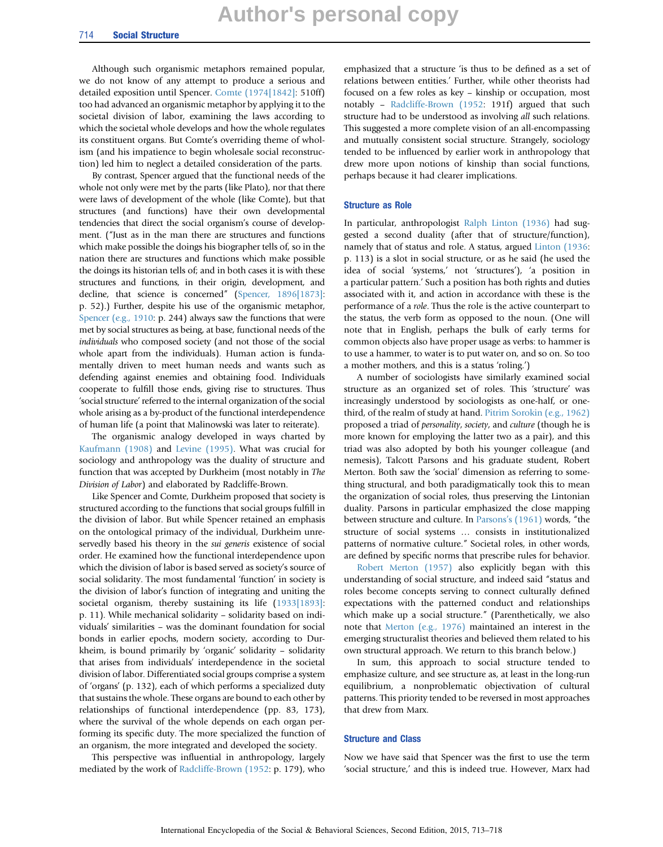Although such organismic metaphors remained popular, we do not know of any attempt to produce a serious and detailed exposition until Spencer. Comte (1974[1842]: 510ff) too had advanced an organismic metaphor by applying it to the societal division of labor, examining the laws according to which the societal whole develops and how the whole regulates its constituent organs. But Comte's overriding theme of wholism (and his impatience to begin wholesale social reconstruction) led him to neglect a detailed consideration of the parts.

By contrast, Spencer argued that the functional needs of the whole not only were met by the parts (like Plato), nor that there were laws of development of the whole (like Comte), but that structures (and functions) have their own developmental tendencies that direct the social organism's course of development. ("Just as in the man there are structures and functions which make possible the doings his biographer tells of, so in the nation there are structures and functions which make possible the doings its historian tells of; and in both cases it is with these structures and functions, in their origin, development, and decline, that science is concerned" (Spencer, 1896[1873]: p. 52).) Further, despite his use of the organismic metaphor, Spencer (e.g., 1910: p. 244) always saw the functions that were met by social structures as being, at base, functional needs of the individuals who composed society (and not those of the social whole apart from the individuals). Human action is fundamentally driven to meet human needs and wants such as defending against enemies and obtaining food. Individuals cooperate to fulfill those ends, giving rise to structures. Thus 'social structure' referred to the internal organization of the social whole arising as a by-product of the functional interdependence of human life (a point that Malinowski was later to reiterate).

The organismic analogy developed in ways charted by Kaufmann (1908) and Levine (1995). What was crucial for sociology and anthropology was the duality of structure and function that was accepted by Durkheim (most notably in The Division of Labor) and elaborated by Radcliffe-Brown.

Like Spencer and Comte, Durkheim proposed that society is structured according to the functions that social groups fulfill in the division of labor. But while Spencer retained an emphasis on the ontological primacy of the individual, Durkheim unreservedly based his theory in the sui generis existence of social order. He examined how the functional interdependence upon which the division of labor is based served as society's source of social solidarity. The most fundamental 'function' in society is the division of labor's function of integrating and uniting the societal organism, thereby sustaining its life (1933[1893]: p. 11). While mechanical solidarity – solidarity based on individuals' similarities – was the dominant foundation for social bonds in earlier epochs, modern society, according to Durkheim, is bound primarily by 'organic' solidarity – solidarity that arises from individuals' interdependence in the societal division of labor. Differentiated social groups comprise a system of 'organs' (p. 132), each of which performs a specialized duty that sustains the whole. These organs are bound to each other by relationships of functional interdependence (pp. 83, 173), where the survival of the whole depends on each organ performing its specific duty. The more specialized the function of an organism, the more integrated and developed the society.

This perspective was influential in anthropology, largely mediated by the work of Radcliffe-Brown (1952: p. 179), who

emphasized that a structure 'is thus to be defined as a set of relations between entities.' Further, while other theorists had focused on a few roles as key – kinship or occupation, most notably – Radcliffe-Brown (1952: 191f) argued that such structure had to be understood as involving all such relations. This suggested a more complete vision of an all-encompassing and mutually consistent social structure. Strangely, sociology tended to be influenced by earlier work in anthropology that drew more upon notions of kinship than social functions, perhaps because it had clearer implications.

#### Structure as Role

In particular, anthropologist Ralph Linton (1936) had suggested a second duality (after that of structure/function), namely that of status and role. A status, argued Linton (1936: p. 113) is a slot in social structure, or as he said (he used the idea of social 'systems,' not 'structures'), 'a position in a particular pattern.' Such a position has both rights and duties associated with it, and action in accordance with these is the performance of a role. Thus the role is the active counterpart to the status, the verb form as opposed to the noun. (One will note that in English, perhaps the bulk of early terms for common objects also have proper usage as verbs: to hammer is to use a hammer, to water is to put water on, and so on. So too a mother mothers, and this is a status 'roling.')

A number of sociologists have similarly examined social structure as an organized set of roles. This 'structure' was increasingly understood by sociologists as one-half, or onethird, of the realm of study at hand. Pitrim Sorokin (e.g., 1962) proposed a triad of personality, society, and culture (though he is more known for employing the latter two as a pair), and this triad was also adopted by both his younger colleague (and nemesis), Talcott Parsons and his graduate student, Robert Merton. Both saw the 'social' dimension as referring to something structural, and both paradigmatically took this to mean the organization of social roles, thus preserving the Lintonian duality. Parsons in particular emphasized the close mapping between structure and culture. In Parsons's (1961) words, "the structure of social systems ... consists in institutionalized patterns of normative culture." Societal roles, in other words, are defined by specific norms that prescribe rules for behavior.

Robert Merton (1957) also explicitly began with this understanding of social structure, and indeed said "status and roles become concepts serving to connect culturally defined expectations with the patterned conduct and relationships which make up a social structure." (Parenthetically, we also note that Merton (e.g., 1976) maintained an interest in the emerging structuralist theories and believed them related to his own structural approach. We return to this branch below.)

In sum, this approach to social structure tended to emphasize culture, and see structure as, at least in the long-run equilibrium, a nonproblematic objectivation of cultural patterns. This priority tended to be reversed in most approaches that drew from Marx.

#### Structure and Class

Now we have said that Spencer was the first to use the term 'social structure,' and this is indeed true. However, Marx had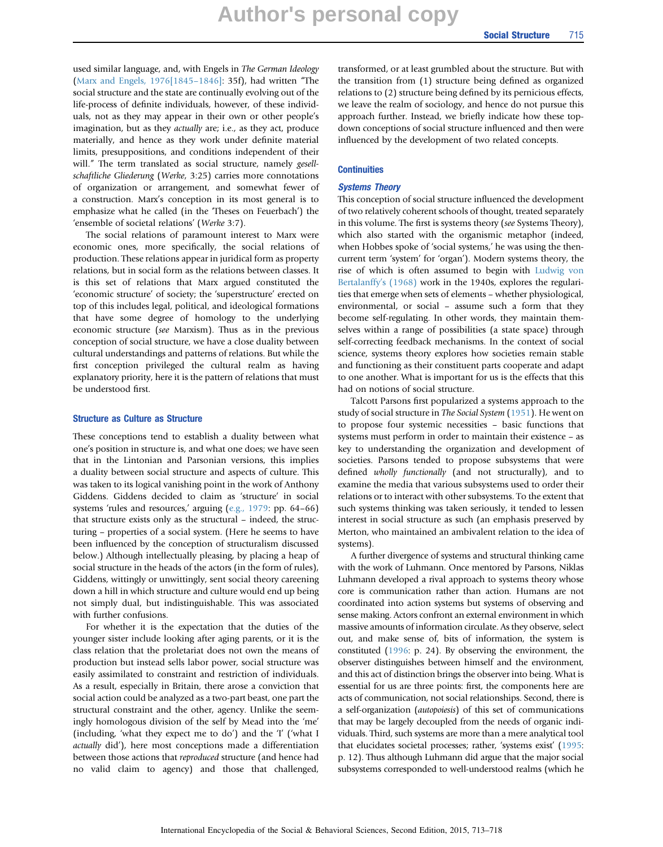**Author's personal copy**

used similar language, and, with Engels in The German Ideology (Marx and Engels, 1976[1845–1846]: 35f), had written "The social structure and the state are continually evolving out of the life-process of definite individuals, however, of these individuals, not as they may appear in their own or other people's imagination, but as they actually are; i.e., as they act, produce materially, and hence as they work under definite material limits, presuppositions, and conditions independent of their will." The term translated as social structure, namely gesellschaftliche Gliederung (Werke, 3:25) carries more connotations of organization or arrangement, and somewhat fewer of a construction. Marx's conception in its most general is to emphasize what he called (in the 'Theses on Feuerbach') the 'ensemble of societal relations' (Werke 3:7).

The social relations of paramount interest to Marx were economic ones, more specifically, the social relations of production. These relations appear in juridical form as property relations, but in social form as the relations between classes. It is this set of relations that Marx argued constituted the 'economic structure' of society; the 'superstructure' erected on top of this includes legal, political, and ideological formations that have some degree of homology to the underlying economic structure (see Marxism). Thus as in the previous conception of social structure, we have a close duality between cultural understandings and patterns of relations. But while the first conception privileged the cultural realm as having explanatory priority, here it is the pattern of relations that must be understood first.

#### Structure as Culture as Structure

These conceptions tend to establish a duality between what one's position in structure is, and what one does; we have seen that in the Lintonian and Parsonian versions, this implies a duality between social structure and aspects of culture. This was taken to its logical vanishing point in the work of Anthony Giddens. Giddens decided to claim as 'structure' in social systems 'rules and resources,' arguing (e.g., 1979: pp. 64–66) that structure exists only as the structural – indeed, the structuring – properties of a social system. (Here he seems to have been influenced by the conception of structuralism discussed below.) Although intellectually pleasing, by placing a heap of social structure in the heads of the actors (in the form of rules), Giddens, wittingly or unwittingly, sent social theory careening down a hill in which structure and culture would end up being not simply dual, but indistinguishable. This was associated with further confusions.

For whether it is the expectation that the duties of the younger sister include looking after aging parents, or it is the class relation that the proletariat does not own the means of production but instead sells labor power, social structure was easily assimilated to constraint and restriction of individuals. As a result, especially in Britain, there arose a conviction that social action could be analyzed as a two-part beast, one part the structural constraint and the other, agency. Unlike the seemingly homologous division of the self by Mead into the 'me' (including, 'what they expect me to do') and the 'I' ('what I actually did'), here most conceptions made a differentiation between those actions that reproduced structure (and hence had no valid claim to agency) and those that challenged,

transformed, or at least grumbled about the structure. But with the transition from (1) structure being defined as organized relations to (2) structure being defined by its pernicious effects, we leave the realm of sociology, and hence do not pursue this approach further. Instead, we briefly indicate how these topdown conceptions of social structure influenced and then were influenced by the development of two related concepts.

#### **Continuities**

#### Systems Theory

This conception of social structure influenced the development of two relatively coherent schools of thought, treated separately in this volume. The first is systems theory (see Systems Theory), which also started with the organismic metaphor (indeed, when Hobbes spoke of 'social systems,' he was using the thencurrent term 'system' for 'organ'). Modern systems theory, the rise of which is often assumed to begin with Ludwig von Bertalanffy's (1968) work in the 1940s, explores the regularities that emerge when sets of elements – whether physiological, environmental, or social – assume such a form that they become self-regulating. In other words, they maintain themselves within a range of possibilities (a state space) through self-correcting feedback mechanisms. In the context of social science, systems theory explores how societies remain stable and functioning as their constituent parts cooperate and adapt to one another. What is important for us is the effects that this had on notions of social structure.

Talcott Parsons first popularized a systems approach to the study of social structure in The Social System (1951). He went on to propose four systemic necessities – basic functions that systems must perform in order to maintain their existence – as key to understanding the organization and development of societies. Parsons tended to propose subsystems that were defined wholly functionally (and not structurally), and to examine the media that various subsystems used to order their relations or to interact with other subsystems. To the extent that such systems thinking was taken seriously, it tended to lessen interest in social structure as such (an emphasis preserved by Merton, who maintained an ambivalent relation to the idea of systems).

A further divergence of systems and structural thinking came with the work of Luhmann. Once mentored by Parsons, Niklas Luhmann developed a rival approach to systems theory whose core is communication rather than action. Humans are not coordinated into action systems but systems of observing and sense making. Actors confront an external environment in which massive amounts of information circulate. As they observe, select out, and make sense of, bits of information, the system is constituted (1996: p. 24). By observing the environment, the observer distinguishes between himself and the environment, and this act of distinction brings the observer into being. What is essential for us are three points: first, the components here are acts of communication, not social relationships. Second, there is a self-organization (autopoiesis) of this set of communications that may be largely decoupled from the needs of organic individuals. Third, such systems are more than a mere analytical tool that elucidates societal processes; rather, 'systems exist' (1995: p. 12). Thus although Luhmann did argue that the major social subsystems corresponded to well-understood realms (which he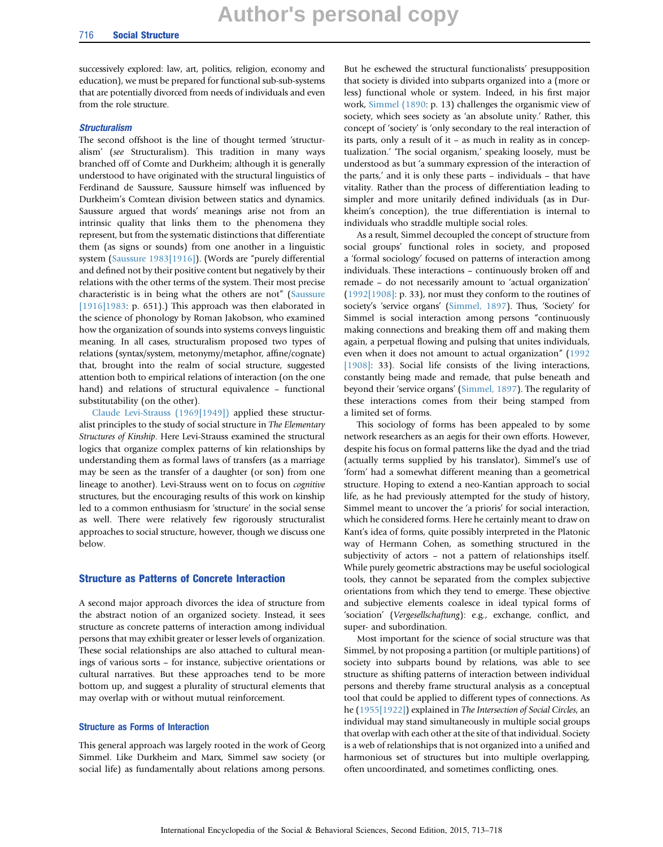successively explored: law, art, politics, religion, economy and education), we must be prepared for functional sub-sub-systems that are potentially divorced from needs of individuals and even from the role structure.

#### Structuralism

The second offshoot is the line of thought termed 'structuralism' (see Structuralism). This tradition in many ways branched off of Comte and Durkheim; although it is generally understood to have originated with the structural linguistics of Ferdinand de Saussure, Saussure himself was influenced by Durkheim's Comtean division between statics and dynamics. Saussure argued that words' meanings arise not from an intrinsic quality that links them to the phenomena they represent, but from the systematic distinctions that differentiate them (as signs or sounds) from one another in a linguistic system (Saussure 1983[1916]). (Words are "purely differential and defined not by their positive content but negatively by their relations with the other terms of the system. Their most precise characteristic is in being what the others are not" (Saussure [1916]1983: p. 651).) This approach was then elaborated in the science of phonology by Roman Jakobson, who examined how the organization of sounds into systems conveys linguistic meaning. In all cases, structuralism proposed two types of relations (syntax/system, metonymy/metaphor, affine/cognate) that, brought into the realm of social structure, suggested attention both to empirical relations of interaction (on the one hand) and relations of structural equivalence – functional substitutability (on the other).

Claude Levi-Strauss (1969[1949]) applied these structuralist principles to the study of social structure in The Elementary Structures of Kinship. Here Levi-Strauss examined the structural logics that organize complex patterns of kin relationships by understanding them as formal laws of transfers (as a marriage may be seen as the transfer of a daughter (or son) from one lineage to another). Levi-Strauss went on to focus on cognitive structures, but the encouraging results of this work on kinship led to a common enthusiasm for 'structure' in the social sense as well. There were relatively few rigorously structuralist approaches to social structure, however, though we discuss one below.

#### Structure as Patterns of Concrete Interaction

A second major approach divorces the idea of structure from the abstract notion of an organized society. Instead, it sees structure as concrete patterns of interaction among individual persons that may exhibit greater or lesser levels of organization. These social relationships are also attached to cultural meanings of various sorts – for instance, subjective orientations or cultural narratives. But these approaches tend to be more bottom up, and suggest a plurality of structural elements that may overlap with or without mutual reinforcement.

#### Structure as Forms of Interaction

This general approach was largely rooted in the work of Georg Simmel. Like Durkheim and Marx, Simmel saw society (or social life) as fundamentally about relations among persons.

But he eschewed the structural functionalists' presupposition that society is divided into subparts organized into a (more or less) functional whole or system. Indeed, in his first major work, Simmel (1890: p. 13) challenges the organismic view of society, which sees society as 'an absolute unity.' Rather, this concept of 'society' is 'only secondary to the real interaction of its parts, only a result of it – as much in reality as in conceptualization.' 'The social organism,' speaking loosely, must be understood as but 'a summary expression of the interaction of the parts,' and it is only these parts – individuals – that have vitality. Rather than the process of differentiation leading to simpler and more unitarily defined individuals (as in Durkheim's conception), the true differentiation is internal to individuals who straddle multiple social roles.

As a result, Simmel decoupled the concept of structure from social groups' functional roles in society, and proposed a 'formal sociology' focused on patterns of interaction among individuals. These interactions – continuously broken off and remade – do not necessarily amount to 'actual organization'  $(1992|1908]$ : p. 33), nor must they conform to the routines of society's 'service organs' (Simmel, 1897). Thus, 'Society' for Simmel is social interaction among persons "continuously making connections and breaking them off and making them again, a perpetual flowing and pulsing that unites individuals, even when it does not amount to actual organization" (1992 [1908]: 33). Social life consists of the living interactions, constantly being made and remade, that pulse beneath and beyond their 'service organs' (Simmel, 1897). The regularity of these interactions comes from their being stamped from a limited set of forms.

This sociology of forms has been appealed to by some network researchers as an aegis for their own efforts. However, despite his focus on formal patterns like the dyad and the triad (actually terms supplied by his translator), Simmel's use of 'form' had a somewhat different meaning than a geometrical structure. Hoping to extend a neo-Kantian approach to social life, as he had previously attempted for the study of history, Simmel meant to uncover the 'a prioris' for social interaction, which he considered forms. Here he certainly meant to draw on Kant's idea of forms, quite possibly interpreted in the Platonic way of Hermann Cohen, as something structured in the subjectivity of actors – not a pattern of relationships itself. While purely geometric abstractions may be useful sociological tools, they cannot be separated from the complex subjective orientations from which they tend to emerge. These objective and subjective elements coalesce in ideal typical forms of 'sociation' (Vergesellschaftung): e.g., exchange, conflict, and super- and subordination.

Most important for the science of social structure was that Simmel, by not proposing a partition (or multiple partitions) of society into subparts bound by relations, was able to see structure as shifting patterns of interaction between individual persons and thereby frame structural analysis as a conceptual tool that could be applied to different types of connections. As he (1955[1922]) explained in The Intersection of Social Circles, an individual may stand simultaneously in multiple social groups that overlap with each other at the site of that individual. Society is a web of relationships that is not organized into a unified and harmonious set of structures but into multiple overlapping, often uncoordinated, and sometimes conflicting, ones.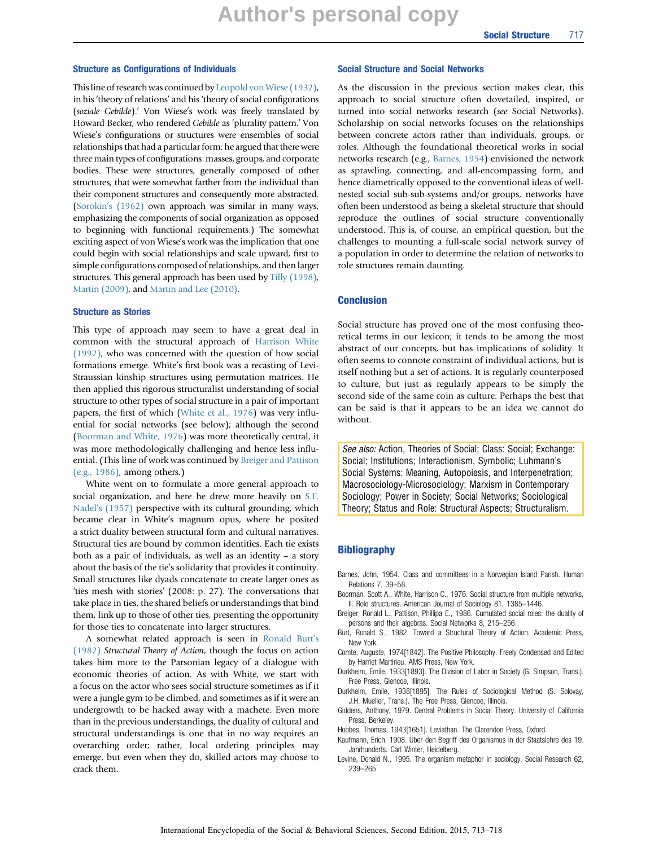#### Structure as Configurations of Individuals

Thisline of research was continued by Leopold von Wiese (1932), in his 'theory of relations' and his 'theory of social configurations (soziale Gebilde).' Von Wiese's work was freely translated by Howard Becker, who rendered Gebilde as 'plurality pattern.' Von Wiese's configurations or structures were ensembles of social relationships that had a particular form: he argued that there were three main types of configurations: masses, groups, and corporate bodies. These were structures, generally composed of other structures, that were somewhat farther from the individual than their component structures and consequently more abstracted. (Sorokin's (1962) own approach was similar in many ways, emphasizing the components of social organization as opposed to beginning with functional requirements.) The somewhat exciting aspect of von Wiese's work was the implication that one could begin with social relationships and scale upward, first to simple configurations composed of relationships, and then larger structures. This general approach has been used by Tilly (1998), Martin (2009), and Martin and Lee (2010).

#### Structure as Stories

This type of approach may seem to have a great deal in common with the structural approach of Harrison White (1992), who was concerned with the question of how social formations emerge. White's first book was a recasting of Levi-Straussian kinship structures using permutation matrices. He then applied this rigorous structuralist understanding of social structure to other types of social structure in a pair of important papers, the first of which (White et al., 1976) was very influential for social networks (see below); although the second (Boorman and White, 1976) was more theoretically central, it was more methodologically challenging and hence less influential. (This line of work was continued by Breiger and Pattison (e.g., 1986), among others.)

White went on to formulate a more general approach to social organization, and here he drew more heavily on S.F. Nadel's (1957) perspective with its cultural grounding, which became clear in White's magnum opus, where he posited a strict duality between structural form and cultural narratives. Structural ties are bound by common identities. Each tie exists both as a pair of individuals, as well as an identity – a story about the basis of the tie's solidarity that provides it continuity. Small structures like dyads concatenate to create larger ones as 'ties mesh with stories' (2008: p. 27). The conversations that take place in ties, the shared beliefs or understandings that bind them, link up to those of other ties, presenting the opportunity for those ties to concatenate into larger structures.

A somewhat related approach is seen in Ronald Burt's (1982) Structural Theory of Action, though the focus on action takes him more to the Parsonian legacy of a dialogue with economic theories of action. As with White, we start with a focus on the actor who sees social structure sometimes as if it were a jungle gym to be climbed, and sometimes as if it were an undergrowth to be hacked away with a machete. Even more than in the previous understandings, the duality of cultural and structural understandings is one that in no way requires an overarching order; rather, local ordering principles may emerge, but even when they do, skilled actors may choose to crack them.

#### Social Structure and Social Networks

As the discussion in the previous section makes clear, this approach to social structure often dovetailed, inspired, or turned into social networks research (see Social Networks). Scholarship on social networks focuses on the relationships between concrete actors rather than individuals, groups, or roles. Although the foundational theoretical works in social networks research (e.g., Barnes, 1954) envisioned the network as sprawling, connecting, and all-encompassing form, and hence diametrically opposed to the conventional ideas of wellnested social sub-sub-systems and/or groups, networks have often been understood as being a skeletal structure that should reproduce the outlines of social structure conventionally understood. This is, of course, an empirical question, but the challenges to mounting a full-scale social network survey of a population in order to determine the relation of networks to role structures remain daunting.

#### **Conclusion**

Social structure has proved one of the most confusing theoretical terms in our lexicon; it tends to be among the most abstract of our concepts, but has implications of solidity. It often seems to connote constraint of individual actions, but is itself nothing but a set of actions. It is regularly counterposed to culture, but just as regularly appears to be simply the second side of the same coin as culture. Perhaps the best that can be said is that it appears to be an idea we cannot do without.

See also: Action, Theories of Social; Class: Social; Exchange: Social; Institutions; Interactionism, Symbolic; Luhmann's Social Systems: Meaning, Autopoiesis, and Interpenetration; Macrosociology-Microsociology; Marxism in Contemporary Sociology; Power in Society; Social Networks; Sociological Theory; Status and Role: Structural Aspects; Structuralism.

#### **Bibliography**

- Barnes, John, 1954. Class and committees in a Norwegian Island Parish. Human Relations 7, 39–58.
- Boorman, Scott A., White, Harrison C., 1976. Social structure from multiple networks, II. Role structures. American Journal of Sociology 81, 1385–1446.
- Breiger, Ronald L., Pattison, Phillipa E., 1986. Cumulated social roles: the duality of persons and their algebras. Social Networks 8, 215–256.
- Burt, Ronald S., 1982. Toward a Structural Theory of Action. Academic Press, New York.
- Comte, Auguste, 1974[1842]. The Positive Philosophy. Freely Condensed and Edited by Harriet Martineu. AMS Press, New York.
- Durkheim, Emile, 1933[1893]. The Division of Labor in Society (G. Simpson, Trans.). Free Press, Glencoe, Illinois.
- Durkheim, Emile, 1938[1895]. The Rules of Sociological Method (S. Solovay, J.H. Mueller, Trans.). The Free Press, Glencoe, Illinois.
- Giddens, Anthony, 1979. Central Problems in Social Theory. University of California Press, Berkeley.
- Hobbes, Thomas, 1943[1651]. Leviathan. The Clarendon Press, Oxford.
- Kaufmann, Erich, 1908. Über den Begriff des Organismus in der Staatslehre des 19. Jahrhunderts. Carl Winter, Heidelberg.
- Levine, Donald N., 1995. The organism metaphor in sociology. Social Research 62, 239–265.